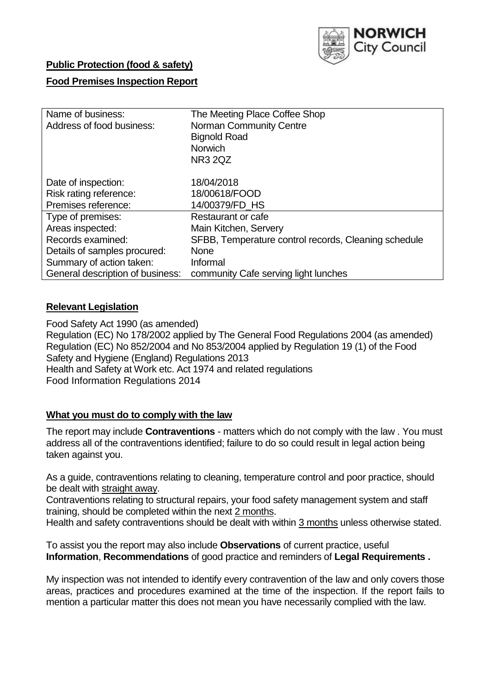

# **Public Protection (food & safety)**

### **Food Premises Inspection Report**

| Name of business:                | The Meeting Place Coffee Shop                        |  |  |  |  |  |
|----------------------------------|------------------------------------------------------|--|--|--|--|--|
| Address of food business:        | <b>Norman Community Centre</b>                       |  |  |  |  |  |
|                                  | <b>Bignold Road</b>                                  |  |  |  |  |  |
|                                  | <b>Norwich</b>                                       |  |  |  |  |  |
|                                  | <b>NR3 2QZ</b>                                       |  |  |  |  |  |
| Date of inspection:              | 18/04/2018                                           |  |  |  |  |  |
| Risk rating reference:           | 18/00618/FOOD                                        |  |  |  |  |  |
| Premises reference:              | 14/00379/FD HS                                       |  |  |  |  |  |
| Type of premises:                | Restaurant or cafe                                   |  |  |  |  |  |
| Areas inspected:                 | Main Kitchen, Servery                                |  |  |  |  |  |
| Records examined:                | SFBB, Temperature control records, Cleaning schedule |  |  |  |  |  |
| Details of samples procured:     | <b>None</b>                                          |  |  |  |  |  |
| Summary of action taken:         | Informal                                             |  |  |  |  |  |
| General description of business: | community Cafe serving light lunches                 |  |  |  |  |  |

### **Relevant Legislation**

Food Safety Act 1990 (as amended) Regulation (EC) No 178/2002 applied by The General Food Regulations 2004 (as amended) Regulation (EC) No 852/2004 and No 853/2004 applied by Regulation 19 (1) of the Food Safety and Hygiene (England) Regulations 2013 Health and Safety at Work etc. Act 1974 and related regulations Food Information Regulations 2014

## **What you must do to comply with the law**

The report may include **Contraventions** - matters which do not comply with the law . You must address all of the contraventions identified; failure to do so could result in legal action being taken against you.

As a guide, contraventions relating to cleaning, temperature control and poor practice, should be dealt with straight away.

Contraventions relating to structural repairs, your food safety management system and staff training, should be completed within the next 2 months.

Health and safety contraventions should be dealt with within 3 months unless otherwise stated.

To assist you the report may also include **Observations** of current practice, useful **Information**, **Recommendations** of good practice and reminders of **Legal Requirements .**

My inspection was not intended to identify every contravention of the law and only covers those areas, practices and procedures examined at the time of the inspection. If the report fails to mention a particular matter this does not mean you have necessarily complied with the law.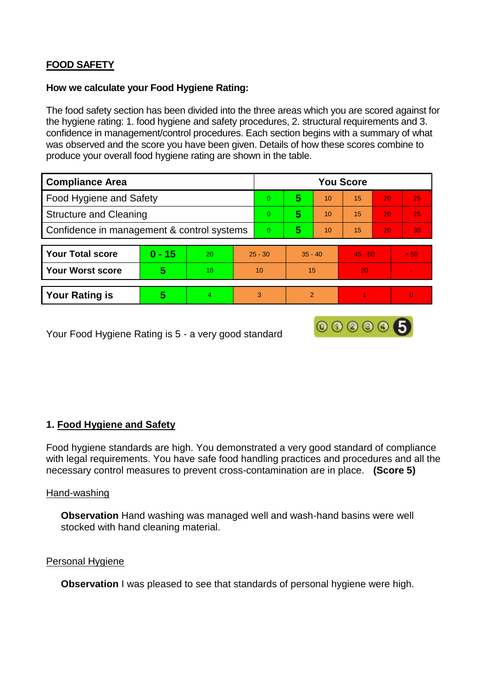# **FOOD SAFETY**

#### **How we calculate your Food Hygiene Rating:**

The food safety section has been divided into the three areas which you are scored against for the hygiene rating: 1. food hygiene and safety procedures, 2. structural requirements and 3. confidence in management/control procedures. Each section begins with a summary of what was observed and the score you have been given. Details of how these scores combine to produce your overall food hygiene rating are shown in the table.

| <b>Compliance Area</b>                     |          |    |           | <b>You Score</b> |                |    |           |    |                 |  |  |
|--------------------------------------------|----------|----|-----------|------------------|----------------|----|-----------|----|-----------------|--|--|
| Food Hygiene and Safety                    |          |    |           | $\overline{0}$   | 5              | 10 | 15        | 20 | 25              |  |  |
| <b>Structure and Cleaning</b>              |          |    |           | $\Omega$         | 5              | 10 | 15        | 20 | 25              |  |  |
| Confidence in management & control systems |          |    |           | $\Omega$         | 5              | 10 | 15        | 20 | 30 <sub>1</sub> |  |  |
|                                            |          |    |           |                  |                |    |           |    |                 |  |  |
| <b>Your Total score</b>                    | $0 - 15$ | 20 | $25 - 30$ |                  | $35 - 40$      |    | $45 - 50$ |    | > 50            |  |  |
| <b>Your Worst score</b>                    | 5        | 10 | 10        |                  | 15             |    | 20        |    | $\blacksquare$  |  |  |
|                                            |          |    |           |                  |                |    |           |    |                 |  |  |
| <b>Your Rating is</b>                      | 5        | 4  |           | 3                | $\mathfrak{p}$ |    |           |    | $\Omega$        |  |  |

000006

Your Food Hygiene Rating is 5 - a very good standard

## **1. Food Hygiene and Safety**

Food hygiene standards are high. You demonstrated a very good standard of compliance with legal requirements. You have safe food handling practices and procedures and all the necessary control measures to prevent cross-contamination are in place. **(Score 5)**

#### Hand-washing

**Observation** Hand washing was managed well and wash-hand basins were well stocked with hand cleaning material.

#### Personal Hygiene

**Observation** I was pleased to see that standards of personal hygiene were high.